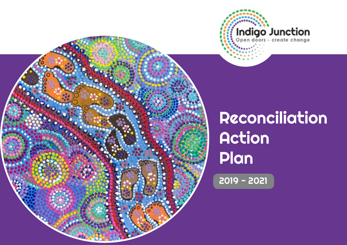

# Reconciliation Action Plan

2019 - 2021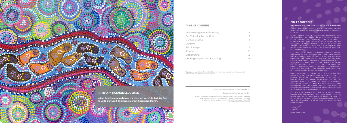#### ARTWORK ACKNOWLEDGEMENT

Indigo Junction acknowledges the cover artwork 'We Walk As One To Unite Our Land' by emerging artist Cassandra Martin.

#### **TABLE OF CONTENTS**

| Acknowledgement of Country      |    |
|---------------------------------|----|
| Our Vision for Reconciliation   | 5  |
| Our Organisation                | 6  |
| Our RAP                         |    |
| <b>Relationships</b>            | 8  |
| Respect                         | 10 |
| Opportunities                   | 12 |
| Tracking Progress and Reporting | 14 |

3

Designed by Kellie Wigg, February 2019

Privacy Statement : Indigo Junction Inc. follows the Australian Privacy Principles and respects the privacy of the people it assists, its members, volunteers, employees, donors and supporters. As a result the images used in this document may be purchased.

#### **CHAIR'S FOREWORD**

#### **INDIGO JUNCTION'S INNOVATE RECONCILIATION ACTION PLAN**

It is with pleasure and pride that as Chair of the Indigo Junction Board, we reveal our inaugural Reconciliation Action Plan – Innovate.

Having a ratified and public Reconciliation Action Plan means that we are embedding reconciliation into our practice intrinsically and extrinsically – we are not only practicing and sharing reconciliation, but we are thinking of ways to be greater than before; to be informed, reflective, accepting and kind. We need to be engaged meaningfully and respectfully and a commitment to reconciliation, learning and knowledge will strengthen our ties to Aboriginal and Torres Strait Islander people.

Indigo Junction has a long-standing relationship with our community with almost 40 years of service delivery in the Midland and surrounding areas. Over 87% of Indigo Junction clients and over 30% of Indigo Junction staff identify as being of Aboriginal descent. For us at Indigo Junction, the move to reconciliation is an important and necessary step forward in honouring Aboriginal and Torres Strait Islander people.

It is important to honour the beautiful and vast histories and value of the Aboriginal and Torres Strait Islander people – thanking them for the lands and seas that have been within their stewardship; thanking them for their culture, lore and song. Equally as important in honouring the history of Aboriginal and Torres Strait Islander people is remaining just as committed to honouring the truth about the impact of colonisation and the intergenerational effects that colonisation has had on our Aboriginal and Torres Strait Islander communities, families and individuals.

Our aim is to overcome structural disadvantage, reduce poverty and homelessness and bring about parity in health and social determinants of health by ease of access to services and continue relationship-based services within the community in which we have had a long standing relationship with.

Lynne Evans, Chair

**Warning:** Aboriginal and Torres Strait Islander readers are warned that this document may contain images of deceased persons.

Indigo Junction Incorporated | ABN 32 879 844 973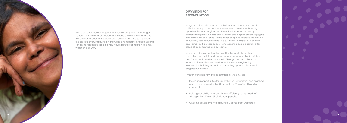Indigo Junction's vision for reconciliation is for all people to stand unified in an equal and inclusive future. We commit to enhancing opportunities for Aboriginal and Torres Strait Islander people by demonstrating inclusiveness and integrity; and by proactively engaging with Aboriginal and Torres Strait Islander people to improve the delivery of culturally respectful services. It is our intent to empower Aboriginal and Torres Strait Islander peoples and continue being a sought after place of opportunities and outcomes.

# OUR VISION FOR **RECONCILIATION**

Indigo Junction recognises the need to demonstrate leadership, innovation and collaboration as a service provider to the Aboriginal and Torres Strait Islander community. Through our commitment to reconciliation and a continued focus towards strengthening relationships, building respect and providing opportunities, we will progress our journey.

Through transparency and accountability we envision:

- Increasing opportunities for strengthened Partnerships and enriched mutual outcomes with the Aboriginal and Torres Strait Islander community;
- Building our ability to respond more efficiently to the needs of Aboriginal and Torres Strait Islander people.
- Ongoing development of a culturally competent workforce.



Indigo Junction acknowledges the Whadjuk people of the Noongar nation, the traditional custodians of the land on which we stand, and we pay our respect to the elders past, present and future. We value the oldest continuing culture in the world and recognise Aboriginal and Torres Strait people's special and unique spiritual connection to lands, water and country.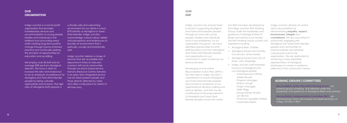## **OUR ORGANISATION**

Indigo Junction is a not-for-profit organisation that provides homelessness services and accommodation to young people, families and individuals in the Midland and surrounding areas whilst creating long-term positive change through trauma informed practice and continually seeking the provision of opportunities for education and up skilling.

We employ over 30 staff and on average 30% are from Aboriginal descent. We have a vision to increase this ratio and endeavour to be an employer of preference for Aboriginal and Torre Strait Islander people by being culturally appropriate and inclusive. The high ratio of Aboriginal staff supports a

Indigo Junction delivers a range of services that are accessible and responsive in times of crisis and connect with local communities through our place based service, Karnany Resource Centre. Karnany is an open door integrated service hub for street present people and those directly affected by crises, and offers a safe place for clients to tell their story.

culturally safe and welcoming environment for our clients in which 87% identify as Aboriginal or Torres Strait Islander. Indigo Junction acknowledge cultural values, beliefs and perceptions and endeavours to provide an environment that is spiritually, socially and emotionally safe.

- 
- Aboriginal Elder, Di Rider<br>• Aboriginal Advisor from Kinship Connection, Anne Hawke
- Aboriginal Advisor from City of Swan, John Mogridge
- Indigo Junction staff members inclusive of Aboriginal and non-Aboriginal people
	- Chief Executive Officer, Adele Stewart
	- Program Manager, Sharon Gough
	- Project Manager, Kellie Wigg
	- Strong Fathers Worker, Jon Blurton
	- Financial Capability Worker, Cassandra Martin

Indigo Junction has actively been involved in supporting Aboriginal and Torres Strait Islander peoples through our work with young people, families and individuals since it was established. As our organisation has grown, we have identified opportunities for both learning about and from Aboriginal and Torres Strait Islander peoples and organisations in our community in order to improve our service provision.

# OUR **RAP**

Developing an innovative Reconciliation Action Plan (RAP) is the next step in Indigo Junction's commitment to ensure Aboriginal and Torres Strait Islander peoples are involved in all aspects of our organisational decision-making and service delivery, and that we are contributing to the empowerment of Aboriginal and Torres Strait Islander peoples across the nation.

Our RAP has been developed by the Indigo Junction RAP Working Group under the leadership and guidance of Aboriginal Elder Di Ryder and advisor Anne Hawke. The RAP Working Group consists of 8 members including:

Indigo Junction will play an active role in reconciliation by demonstrating **empathy, respect, inclusiveness, integrity** and **commitment**. We are committed to proactively engaging with Aboriginal and Torres Strait Islander people and communities to improve policies and develop cultural protocols for the organisation. We are dedicated to achieving a more equitable representation of Aboriginal employees to create a workforce reflective of the community it serves.

- **· Reconciliation Action Plan (RAP) Working Group :** an external group consisting of 8 member under the leadership and guidance of Aboriginal Elders and advisors.
- **· Reconciliation Implementation Committee (RIC)** : an internal group which will oversee the implementation of Indigo Junction's RAP.

#### WORKING GROUPS | COMMITTEES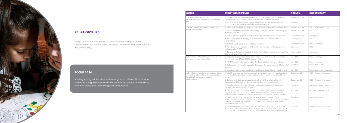Indigo Junction is committed to building relationships with all stakeholders that are inclusive, respectful and create shared value in the community.



# RELATIONSHIPS

Building trusting relationships with Aboriginal and Torres Strait Islander community, organisations and individuals that contribute to healing and well-being whilst delivering positive outcomes.

# FOCUS AREA

| <b>ACTION</b>                                                                                                                                         | <b>TARGET (DELIVERABLES)</b>                                                                                                                                                                                                                                                | <b>TIMELINE</b>   | <b>RESPONSIBILITY</b>            |
|-------------------------------------------------------------------------------------------------------------------------------------------------------|-----------------------------------------------------------------------------------------------------------------------------------------------------------------------------------------------------------------------------------------------------------------------------|-------------------|----------------------------------|
| 1. Establish and maintain a<br>Reconciliation Implementation Committee<br>(RIC)                                                                       | 1. Create a Reconciliation Implementation Committee (RIC) to oversee the<br>development, endorsement, launch and implementation of the RAP.                                                                                                                                 | September 2019    | CEO                              |
|                                                                                                                                                       | 2. RIC to meet at least 4 times per year to monitor the implementation of<br>actions, track progress and report on RAP implementation.                                                                                                                                      | Quarterly         | CEO                              |
| 2. Raise internal and external awareness of                                                                                                           | 1. RAP to be distributed to all Indigo Junction employees and Board Members.                                                                                                                                                                                                | September 2019    | CEO   Project Manager            |
| Indigo Junction RAP                                                                                                                                   | 2. All new staff to be provided with a copy of Indigo Junction's RAP during the<br>induction process.                                                                                                                                                                       | September 2019    | $\mathsf{HR}$                    |
|                                                                                                                                                       | 3. Staff to go through the RAP as part of Indigo Junction's induction process.                                                                                                                                                                                              | September 2019    | Managers                         |
|                                                                                                                                                       | 4. RIC to implement a strategy to communicate our RAP to all external<br>stakeholders.                                                                                                                                                                                      | February 2020     | <b>RIC</b>                       |
|                                                                                                                                                       | 5. RAP to be uploaded to our website and internet.                                                                                                                                                                                                                          | September 2019    | Project Manager                  |
|                                                                                                                                                       | 6. Provide quarterly updates to staff and Board members on the progress of<br>Indigo Junction's RAP.                                                                                                                                                                        | Quarterly         | CEO                              |
|                                                                                                                                                       | 7. Develop a strategy to engage all staff in RAP initiatives and make a standard<br>item on all team meetings.                                                                                                                                                              | October 2019      | Managers                         |
| 3. Celebrate National Reconciliation Week to<br>promote stronger relationships                                                                        | 1. Organise at least one internal event each year for National Reconciliation<br>Week (Beginning 27 May 2019 & 1 June 2020).                                                                                                                                                | May 2020          | Project Manager                  |
|                                                                                                                                                       | 2. All NRW events to be registered on the Reconciliation Australia website.                                                                                                                                                                                                 | May 2020          | Project Manager                  |
|                                                                                                                                                       | 3. Collaborate with local organisation to support the development of local NRW<br>events.                                                                                                                                                                                   | <b>March 2020</b> | Leadership Team                  |
|                                                                                                                                                       | 4. Encourage staff to participate in local National Reconciliation Week events.                                                                                                                                                                                             | May 2020          | Leadership Team   Managers       |
| 4. Develop new relationships and strengthen<br>our existing relationships with Aboriginal and<br>Torres Strait Islander peoples and<br>organisations. | 1. Identify and map our existing relationships and contacts with Aboriginal and<br>Torres Strait Islanders, Elders, organisations and individuals in the City of Swan<br>area.                                                                                              | December 2019     | CEO   Program Manager            |
|                                                                                                                                                       | 2. Develop and define strategies to strengthen existing relationships with<br>Aboriginal and Torres Strait Islander communities and organisations.                                                                                                                          | December 2019     | CEO   Program Manager            |
|                                                                                                                                                       | 3. Work towards the Guiding Principles for future engagement document<br>created by Communities for Children.                                                                                                                                                               | Ongoing           | Leadership Team   Managers       |
|                                                                                                                                                       | 4. Establish a directory of key Aboriginal and Torres Strait Islander contacts<br>(Kinship Connection) and Aboriginal Elders who are accessible to mentor<br>Indigo Junction employees. Create a procedure on how to contact mentors.                                       | April 2020        | Program Manager   CEO            |
|                                                                                                                                                       | 5. Invite Aboriginal and Torres Strait Islander Leaders to speak at key<br>Indigo Junction events for staff to gain an understanding of local cultural values<br>to inform their work with Aboriginal and Torres Strait Islander young people,<br>families and individuals. | Ongoing           | Leadership Team                  |
|                                                                                                                                                       | 6. Representative(s) from indigo Junction join and attend Reconciliation WA<br>Yokai Aboriginal Employment forum & attend at least one meeting per year to<br>enhance the outcomes across Aboriginal workforce recruitment and retention.                                   | Annually          | <b>Strong Father Coordinator</b> |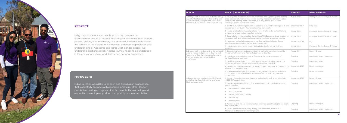Indigo Junction embraces practices that demonstrate an organisational culture of respect for Aboriginal and Torres Strait Islander people, culture, land and history. We endeavour to learn more about the richness of the cultures as we develop a deeper appreciation and understanding of Aboriginal and Torres Strait Islander people. We understand each individual's healing journey needs to be understood in the context of culture, land, history and personal experience.

| <b>ACTION</b>                                                                                                                                                                                    | <b>TARGET (DELIVERABLES)</b>                                                                                                                                                                                                                                                       | <b>TIMELINE</b> | <b>RESPONSIBILITY</b>            |
|--------------------------------------------------------------------------------------------------------------------------------------------------------------------------------------------------|------------------------------------------------------------------------------------------------------------------------------------------------------------------------------------------------------------------------------------------------------------------------------------|-----------------|----------------------------------|
| 1. Engage staff in continuous cultural learning<br>opportunities to increase understanding and<br>appreciation of Aboriginal and Torres Strait<br>Islander cultures, histories and achievements. | 1. Develop and implement a cultural awareness training strategy and learning<br>circle for our staff which defines cultural learning needs and considers various<br>ways cultural learning can be provided, including online, face to face<br>workshops and/or cultural immersion. | August 2020     | Manager, Service Design & Impact |
|                                                                                                                                                                                                  | 2. Identify cultural learning requirements specific to our staff's training needs and<br>incorporate in our Quality Assurance Learning framework.                                                                                                                                  | December 2019   | HR   CEO                         |
|                                                                                                                                                                                                  | 3. Source and implement Aboriginal and Torres Strait Islander cultural training<br>programs and appropriate induction material.                                                                                                                                                    | August 2020     | Manager, Service Design & Impact |
|                                                                                                                                                                                                  | 4. Reconciliation Implementation Committee (RIC), Board members, Leadership,<br>managers, staff and volunteers to participate in cultural awareness training.                                                                                                                      | August 2020     | Manager, Service Design & Impact |
|                                                                                                                                                                                                  | 5. Implement culturally inclusive recruitment advertising strategies. Ensure<br>interview questions express some cultural awareness.                                                                                                                                               | September 2019  | <b>HR</b>                        |
|                                                                                                                                                                                                  | 6. Include cultural learning modules during induction for all new staff and<br>volunteers.                                                                                                                                                                                         | August 2020     | Manager, Service Design & Impact |
| 2. Engage staff in understanding the protocols<br>around Acknowledgement of Country and<br>Welcome to Country ceremonies to ensure<br>there is shared meaning behind the<br>ceremonies.          | 1. Develop, implement and communicate a cultural protocol document for<br>Welcome to Country and Acknowledgement of Country.                                                                                                                                                       | August 2019     | Project Officer                  |
|                                                                                                                                                                                                  | 2. Include an Acknowledgement of Country at the commencement of<br>significant internal meetings.                                                                                                                                                                                  | Ongoing         | Leadership Team   Managers       |
|                                                                                                                                                                                                  | 3. Identify significant internal and external events and meetings for which a<br>Welcome to Country from a Traditional Owner will be included.                                                                                                                                     | Ongoing         | Leadership Team                  |
|                                                                                                                                                                                                  | 4. Identify and develop key contacts for organising a Welcome to Country in the<br>Midland and surrounds area.                                                                                                                                                                     | September 2019  | Project Manager                  |
|                                                                                                                                                                                                  | 5. Include Acknowledgement of Country to significant corporate documents<br>and include on the organisations website and social media pages where<br>appropriate.                                                                                                                  | Ongoing         | Project Manager                  |
| 3. Recognise and celebrate NAIDOC Week<br>and other significant Aboriginal and Torres<br>Strait Islander events.                                                                                 | 1. Review HR policies to ensure there are no barriers for staff to participate in<br>NAIDOC Week activities.                                                                                                                                                                       | September 2019  | Project Officer                  |
|                                                                                                                                                                                                  | 2. Provide opportunities for all staff to support and participate in local cultural<br>events including:                                                                                                                                                                           | Ongoing         | Leadership Team   Managers       |
|                                                                                                                                                                                                  | Local NAIDOC Week events                                                                                                                                                                                                                                                           |                 |                                  |
|                                                                                                                                                                                                  | Sorry Day events<br>٠                                                                                                                                                                                                                                                              |                 |                                  |
|                                                                                                                                                                                                  | Local Close the Gap events                                                                                                                                                                                                                                                         |                 |                                  |
|                                                                                                                                                                                                  | Survival Day                                                                                                                                                                                                                                                                       |                 |                                  |
|                                                                                                                                                                                                  | Harmony Day                                                                                                                                                                                                                                                                        |                 |                                  |
|                                                                                                                                                                                                  | 3. Promote events via our communication channels (social media) to our clients<br>and community.                                                                                                                                                                                   | Ongoing         | Project Manager                  |
|                                                                                                                                                                                                  | 4. Create personal awareness by sharing, with permission, the stories of<br>Aboriginal and Torres Strait Islander people.                                                                                                                                                          | Ongoing         | Leadership Team   Managers       |

Indigo Junction would like to be seen and heard as an organisation that respectfully engages with Aboriginal and Torres Strait Islander people by creating an organisational culture that is welcoming and respectful as employees, partners and participants in our activities.

#### FOCUS AREA



# **RESPECT**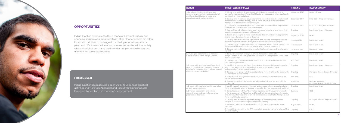Indigo Junction recognise that for a range of historical, cultural and economic reasons Aboriginal and Torres Strait Islander people are often faced with additional challenges in achieving education and em ployment. We share a vision of an inclusive, just and equitable society where Aboriginal and Torres Strait Islander peoples and all others are afforded the same opportunities.

| <b>ACTION</b>                                                                                                                                                                 | <b>TARGET (DELIVERABLES)</b>                                                                                                                                                                                                                                                          | <b>TIMELINE</b>  | <b>RESPONSIBILITY</b>                               |
|-------------------------------------------------------------------------------------------------------------------------------------------------------------------------------|---------------------------------------------------------------------------------------------------------------------------------------------------------------------------------------------------------------------------------------------------------------------------------------|------------------|-----------------------------------------------------|
| 1. Develop effective recruitment and<br>retention strategies to increase Aboriginal<br>and Torres Strait Islander employment<br>opportunities with Indigo Junction.           | 1. Review and update HR policies and procedures to ensure there are no<br>barriers for Aboriginal and Torres Strait Islander employees and future applicants<br>participating in our workplace.                                                                                       | September 2019   | Project Officer                                     |
|                                                                                                                                                                               | 2. Develop and implement an Aboriginal and Torres Strait Islander employment<br>attraction and retention strategy. Aim to be an employer of preference for<br>Aboriginal and Torres Strait Islander people.                                                                           | December 2019    | HR   CEO   Program Manager                          |
|                                                                                                                                                                               | 3. Consult with existing Aboriginal and Torres Strait Islander staff on employment<br>strategies, including professional development.                                                                                                                                                 | December 2019    | HR   CEO   Program Manager                          |
|                                                                                                                                                                               | 4. Ensure all job advertisements include the phrase "Aboriginal and Torres Strait<br>Islander peoples are encouraged to apply".                                                                                                                                                       | Ongoing          | Leadership Team   Managers                          |
|                                                                                                                                                                               | 5. Recruit an Aboriginal or Torres Strait Islander Board Member with appropriate<br>skills to Indigo Junction's Board of Directors.                                                                                                                                                   | September 2020   | <b>Board</b>                                        |
|                                                                                                                                                                               | 6. Develop networks with local high schools and develop and implement work<br>experience opportunities for Aboriginal and Torres Strait Islander peoples.                                                                                                                             | February 2021    | Leadership Team                                     |
|                                                                                                                                                                               | 7. Develop networks with universities and other educational institutions to source<br>Aboriginal and Torres Strait Islander students for internship placements                                                                                                                        | February 2021    | Leadership Team                                     |
|                                                                                                                                                                               | 8. Develop traineeship / internship opportunities through partnership or funding<br>support.                                                                                                                                                                                          | December 2021    | Leadership Team                                     |
| 2. Investigate opportunities to increase<br>supplier diversity within Indigo Junction.                                                                                        | 1. Review procurement strategy to ensure there are no barriers for<br>Indigo Junction to procure goods and services from Aboriginal and Torres Strait<br>Islander businesses.                                                                                                         | Ongoing          | Leadership Team                                     |
|                                                                                                                                                                               | 2. Develop a list of Aboriginal and Torres Strait Islander owned businesses that<br>are operating in our area.                                                                                                                                                                        | April 2020       | Leadership Team                                     |
| 3. Engage with Aboriginal and Torres Strait<br>Islander people to co-develop a purpose built<br>building for Indigo Junction's offices, services<br>and crisis accommodation. | 1. Identify and engage with local Aboriginal service users, Elders and agencies<br>who can provide direction and cultural advice to ultimately co-design<br>Indigo Junction's future developments.                                                                                    | Ongoing          | Leadership Team   Managers                          |
|                                                                                                                                                                               | 2. Develop focus groups with the Aboriginal and Torres Strait Islander community<br>to understand cultural needs.                                                                                                                                                                     | Ongoing          | Manager, Service Design & Impact                    |
|                                                                                                                                                                               | 3. Inclusion of an Aboriginal or Torres Strait Islander staff member to be on the<br>New Build committee.                                                                                                                                                                             | April 2020       | CEO                                                 |
|                                                                                                                                                                               | 4. Develop framework that is culturally safe and details how we work with the<br>community.                                                                                                                                                                                           | <b>June 2020</b> | Program Manager<br>Manager, Service Design & Impact |
| 4. Engage with Aboriginal artists to develop<br>artwork for new building.                                                                                                     | 1. Identify through expression of interest and engage with local Aboriginal and<br>Torres Strait Islander artists to develop artwork for the new purpose-built building.                                                                                                              | Ongoing          | Leadership Team                                     |
| 5. Enhance accessibility and cultural<br>responsiveness and respectfulness of our<br>programs and services.                                                                   | 1. Consult quarterly with RAP Committee regarding continuous improvements<br>in the engagement of Aboriginal and Torres Strait Islander peoples in the design<br>and delivery of services and to ensure services are accessible for Aboriginal and<br>Torres Strait Islander peoples. | Quarterly        | CEO                                                 |
|                                                                                                                                                                               | 2. Develop and implement a plan for Aboriginal and Torres Strait Islander<br>peoples to participate in program design and delivery.                                                                                                                                                   | Ongoing          | Manager, Service Design & Impact                    |
|                                                                                                                                                                               | 3. Maintain a minimum of one Aboriginal and/or Torres Strait Islander Board<br>member.                                                                                                                                                                                                | August 2020      | Board                                               |
|                                                                                                                                                                               | 4. Support the continuity of the RAP committee by reviewing the functions of the<br>group 6-monthly.                                                                                                                                                                                  | Ongoing          | CEO                                                 |

Indigo Junction seeks genuine opportunities to undertake practical activities and work with Aboriginal and Torres Strait Islander people through collaboration and meaningful engagement.

### FOCUS AREA



# **OPPORTUNITIES**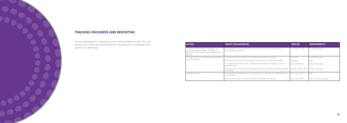

# TRACKING PROGRESS AND REPORTING

| <b>ACTION</b>                                                                                                                                | <b>TARGET (DELIVERABLES)</b>                                                                    | <b>TIMELINE</b>     | <b>RESPONSIBILITY</b>   |
|----------------------------------------------------------------------------------------------------------------------------------------------|-------------------------------------------------------------------------------------------------|---------------------|-------------------------|
| I. Report achievements, challenges and<br>learnings to Reconciliation Australia for<br>inclusion in the Annual Impact Measurement<br>Report. | 1. Complete and submit the RAP Impact Measurement Questionnaire to<br>Reconciliation Australia. | June 2020   2021    | Project Manager         |
| 2. Update internal and external stakeholders<br>on RAP progress                                                                              | 1. Quarterly progress reports to be tabled at Leadership meeting.                               | Quarterly           | Leadership Team         |
|                                                                                                                                              | 2. Provide a summary of RAP progress to all staff and the Board quarterly.                      | Quarterly           | CEO                     |
|                                                                                                                                              | 3. Include RAP achievements, challenges and learnings in Indigo Junction's<br>Annual Review.    | September 2019      | Project Manager         |
|                                                                                                                                              | 4. Survey staff on how they feel progress has been made on the implementation<br>of the RAP.    | October 2020   2021 | <b>Project Manager</b>  |
| 3. Refresh the RAP                                                                                                                           | . Develop a new RAP based on key learnings, challenges and achievements<br>from this RAP.       | November 2021       | <b>RIC</b>              |
|                                                                                                                                              | 2. Submit RAP to Reconciliation Australia for formal endorsement.                               | December 2021       | Project Manager<br>CEO. |

Tracking progress and reporting on the Reconciliation Action Plan will ensure we monitor our achievements, recognise any challenges and identify key learnings.